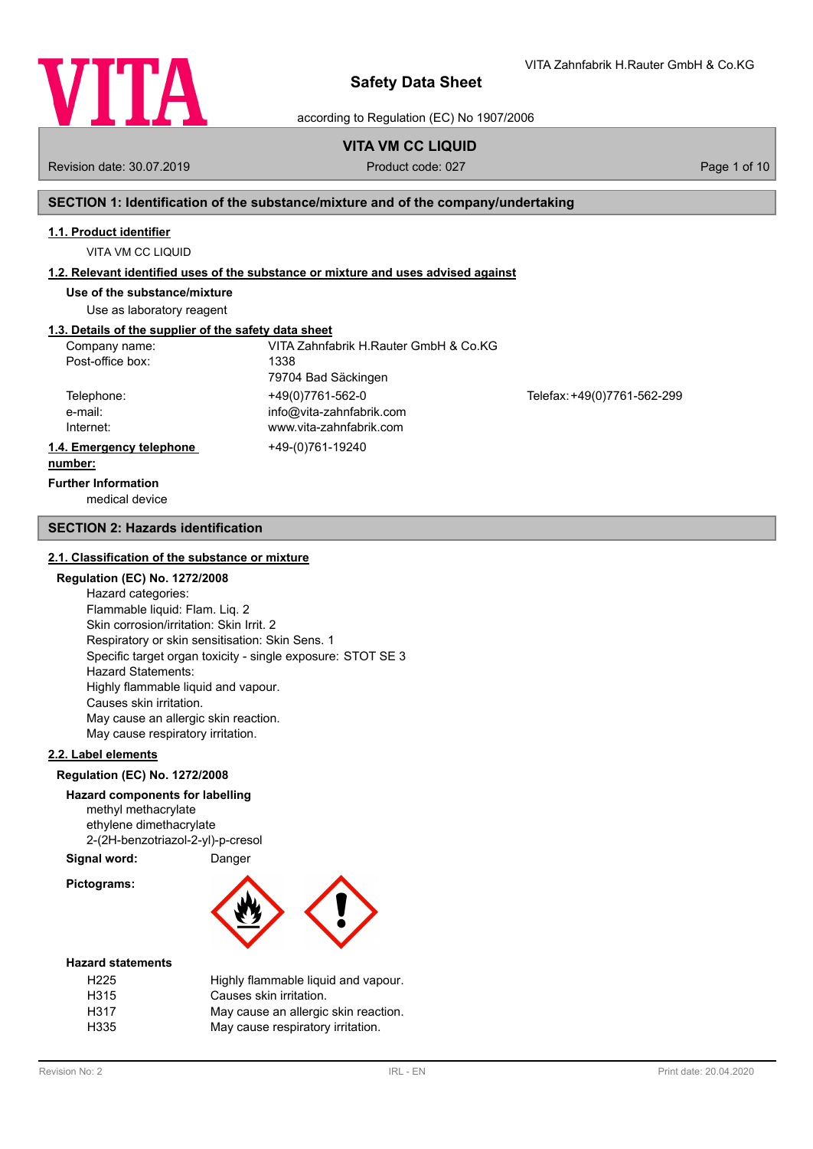

VITA Zahnfabrik H.Rauter GmbH & Co.KG

according to Regulation (EC) No 1907/2006

# **VITA VM CC LIQUID**

Revision date: 30.07.2019 **Product code: 027** Page 1 of 10

# **SECTION 1: Identification of the substance/mixture and of the company/undertaking**

### **1.1. Product identifier**

VITA VM CC LIQUID

# **1.2. Relevant identified uses of the substance or mixture and uses advised against**

**Use of the substance/mixture**

Use as laboratory reagent

# **1.3. Details of the supplier of the safety data sheet**

| Company name:            | VITA Zahnfabrik H.Rauter GmbH & Co.KG |                             |
|--------------------------|---------------------------------------|-----------------------------|
| Post-office box:         | 1338                                  |                             |
|                          | 79704 Bad Säckingen                   |                             |
| Telephone:               | +49(0)7761-562-0                      | Telefax: +49(0)7761-562-299 |
| e-mail:                  | info@vita-zahnfabrik.com              |                             |
| Internet:                | www.vita-zahnfabrik.com               |                             |
| 1.4. Emergency telephone | +49-(0)761-19240                      |                             |
| number:                  |                                       |                             |

# **Further Information**

medical device

## **SECTION 2: Hazards identification**

## **2.1. Classification of the substance or mixture**

# **Regulation (EC) No. 1272/2008**

Hazard categories: Flammable liquid: Flam. Liq. 2 Skin corrosion/irritation: Skin Irrit. 2 Respiratory or skin sensitisation: Skin Sens. 1 Specific target organ toxicity - single exposure: STOT SE 3 Hazard Statements: Highly flammable liquid and vapour. Causes skin irritation. May cause an allergic skin reaction. May cause respiratory irritation.

## **2.2. Label elements**

## **Regulation (EC) No. 1272/2008**

# **Hazard components for labelling**

methyl methacrylate ethylene dimethacrylate 2-(2H-benzotriazol-2-yl)-p-cresol

# **Signal word:** Danger

**Pictograms:**



## **Hazard statements**

| H <sub>225</sub> | Highly flammable liquid and vapour.  |
|------------------|--------------------------------------|
| H <sub>315</sub> | Causes skin irritation.              |
| H317             | May cause an allergic skin reaction. |
| H335             | May cause respiratory irritation.    |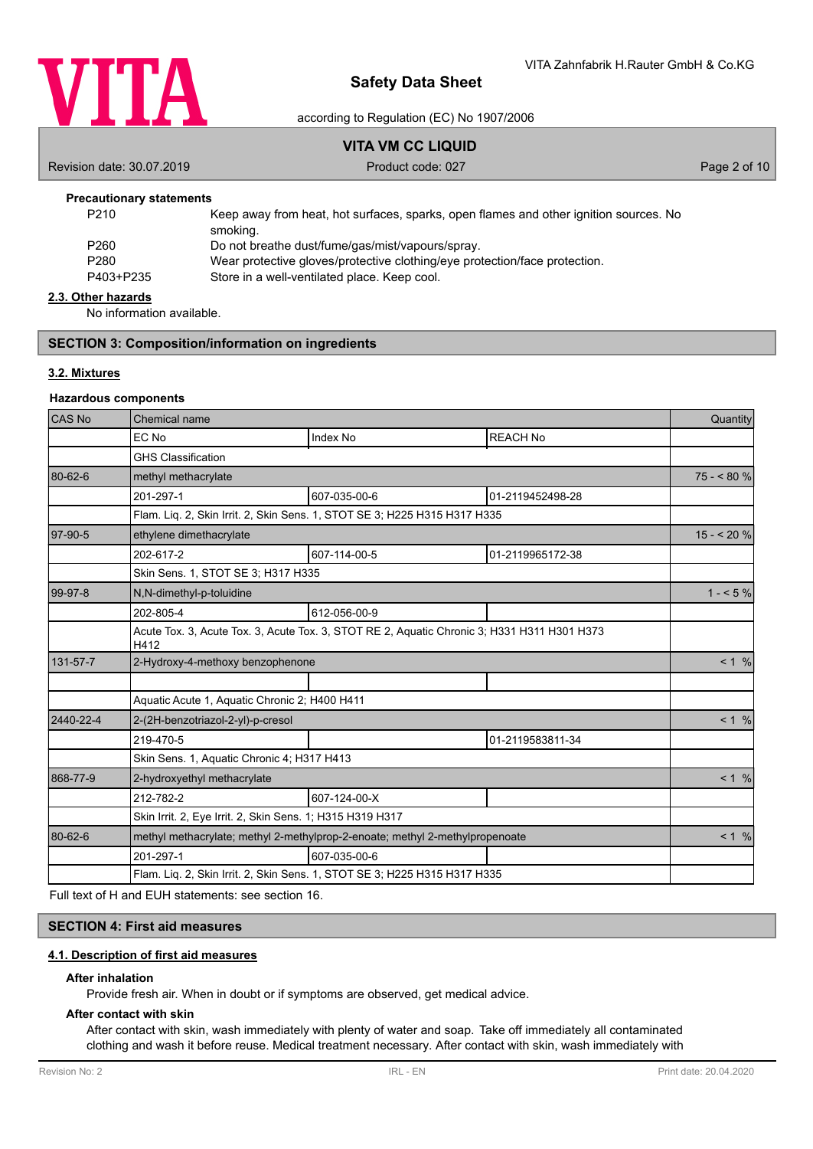

## according to Regulation (EC) No 1907/2006

# **VITA VM CC LIQUID**

Revision date: 30.07.2019 **Product code: 027** Product code: 027 **Page 2 of 10** 

# **Precautionary statements**

| P210      | Keep away from heat, hot surfaces, sparks, open flames and other ignition sources. No |
|-----------|---------------------------------------------------------------------------------------|
|           | smoking.                                                                              |
| P260      | Do not breathe dust/fume/gas/mist/vapours/spray.                                      |
| P280      | Wear protective gloves/protective clothing/eye protection/face protection.            |
| P403+P235 | Store in a well-ventilated place. Keep cool.                                          |
|           |                                                                                       |

#### **2.3. Other hazards**

No information available.

# **SECTION 3: Composition/information on ingredients**

## **3.2. Mixtures**

## **Hazardous components**

| <b>CAS No</b> | Chemical name                                                                                       |                                                                              |                  |            |  |
|---------------|-----------------------------------------------------------------------------------------------------|------------------------------------------------------------------------------|------------------|------------|--|
|               | EC No                                                                                               | <b>Index No</b>                                                              | <b>REACH No</b>  |            |  |
|               | <b>GHS Classification</b>                                                                           |                                                                              |                  |            |  |
| 80-62-6       | methyl methacrylate                                                                                 |                                                                              |                  | $75 - 80%$ |  |
|               | 201-297-1                                                                                           | 607-035-00-6                                                                 | 01-2119452498-28 |            |  |
|               | Flam. Lig. 2, Skin Irrit. 2, Skin Sens. 1, STOT SE 3; H225 H315 H317 H335                           |                                                                              |                  |            |  |
| 97-90-5       | ethylene dimethacrylate                                                                             |                                                                              |                  | $15 - 20%$ |  |
|               | 202-617-2                                                                                           | 607-114-00-5                                                                 | 01-2119965172-38 |            |  |
|               | Skin Sens. 1, STOT SE 3; H317 H335                                                                  |                                                                              |                  |            |  |
| 99-97-8       | N,N-dimethyl-p-toluidine                                                                            |                                                                              |                  | $1 - 5\%$  |  |
|               | 202-805-4                                                                                           | 612-056-00-9                                                                 |                  |            |  |
|               | Acute Tox. 3, Acute Tox. 3, Acute Tox. 3, STOT RE 2, Aquatic Chronic 3; H331 H311 H301 H373<br>H412 |                                                                              |                  |            |  |
| 131-57-7      | 2-Hydroxy-4-methoxy benzophenone                                                                    |                                                                              |                  |            |  |
|               |                                                                                                     |                                                                              |                  |            |  |
|               | Aquatic Acute 1, Aquatic Chronic 2; H400 H411                                                       |                                                                              |                  |            |  |
| 2440-22-4     | 2-(2H-benzotriazol-2-yl)-p-cresol                                                                   |                                                                              |                  | < 1 %      |  |
|               | 219-470-5                                                                                           |                                                                              | 01-2119583811-34 |            |  |
|               | Skin Sens. 1, Aquatic Chronic 4; H317 H413                                                          |                                                                              |                  |            |  |
| 868-77-9      | 2-hydroxyethyl methacrylate                                                                         |                                                                              |                  | < 1 %      |  |
|               | 212-782-2                                                                                           | 607-124-00-X                                                                 |                  |            |  |
|               | Skin Irrit. 2, Eye Irrit. 2, Skin Sens. 1; H315 H319 H317                                           |                                                                              |                  |            |  |
| 80-62-6       |                                                                                                     | methyl methacrylate; methyl 2-methylprop-2-enoate; methyl 2-methylpropenoate |                  |            |  |
|               | 201-297-1                                                                                           | 607-035-00-6                                                                 |                  |            |  |
|               | Flam. Liq. 2, Skin Irrit. 2, Skin Sens. 1, STOT SE 3; H225 H315 H317 H335                           |                                                                              |                  |            |  |

Full text of H and EUH statements: see section 16.

# **SECTION 4: First aid measures**

# **4.1. Description of first aid measures**

#### **After inhalation**

Provide fresh air. When in doubt or if symptoms are observed, get medical advice.

### **After contact with skin**

After contact with skin, wash immediately with plenty of water and soap. Take off immediately all contaminated clothing and wash it before reuse. Medical treatment necessary. After contact with skin, wash immediately with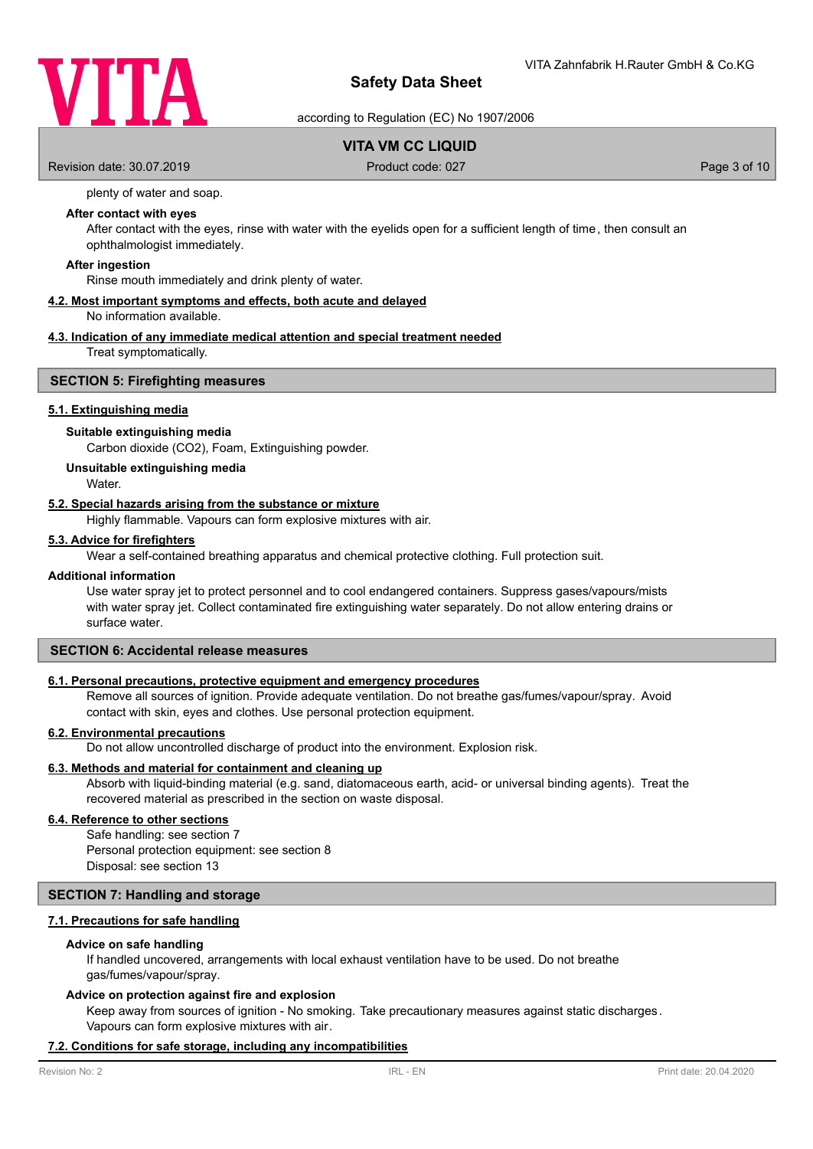

according to Regulation (EC) No 1907/2006

# **VITA VM CC LIQUID**

Revision date: 30.07.2019 **Product code: 027** Page 3 of 10

plenty of water and soap.

# **After contact with eyes**

After contact with the eyes, rinse with water with the eyelids open for a sufficient length of time, then consult an ophthalmologist immediately.

#### **After ingestion**

Rinse mouth immediately and drink plenty of water.

# **4.2. Most important symptoms and effects, both acute and delayed**

No information available.

# **4.3. Indication of any immediate medical attention and special treatment needed**

Treat symptomatically.

# **SECTION 5: Firefighting measures**

# **5.1. Extinguishing media**

#### **Suitable extinguishing media**

Carbon dioxide (CO2), Foam, Extinguishing powder.

#### **Unsuitable extinguishing media**

**Water** 

## **5.2. Special hazards arising from the substance or mixture**

Highly flammable. Vapours can form explosive mixtures with air.

## **5.3. Advice for firefighters**

Wear a self-contained breathing apparatus and chemical protective clothing. Full protection suit.

#### **Additional information**

Use water spray jet to protect personnel and to cool endangered containers. Suppress gases/vapours/mists with water spray jet. Collect contaminated fire extinguishing water separately. Do not allow entering drains or surface water.

## **SECTION 6: Accidental release measures**

### **6.1. Personal precautions, protective equipment and emergency procedures**

Remove all sources of ignition. Provide adequate ventilation. Do not breathe gas/fumes/vapour/spray. Avoid contact with skin, eyes and clothes. Use personal protection equipment.

## **6.2. Environmental precautions**

Do not allow uncontrolled discharge of product into the environment. Explosion risk.

### **6.3. Methods and material for containment and cleaning up**

Absorb with liquid-binding material (e.g. sand, diatomaceous earth, acid- or universal binding agents). Treat the recovered material as prescribed in the section on waste disposal.

## **6.4. Reference to other sections**

Safe handling: see section 7 Personal protection equipment: see section 8 Disposal: see section 13

# **SECTION 7: Handling and storage**

### **7.1. Precautions for safe handling**

#### **Advice on safe handling**

If handled uncovered, arrangements with local exhaust ventilation have to be used. Do not breathe gas/fumes/vapour/spray.

#### **Advice on protection against fire and explosion**

Keep away from sources of ignition - No smoking. Take precautionary measures against static discharges. Vapours can form explosive mixtures with air.

#### **7.2. Conditions for safe storage, including any incompatibilities**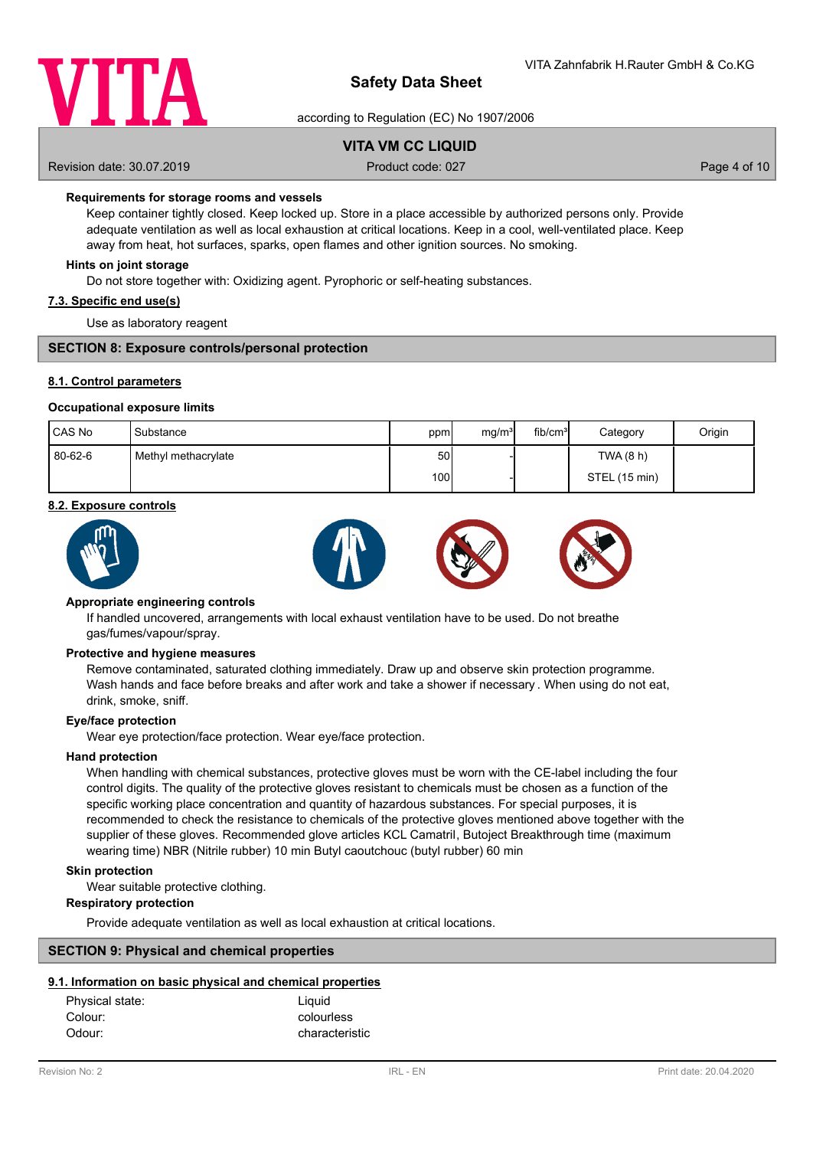

according to Regulation (EC) No 1907/2006

# **VITA VM CC LIQUID**

Revision date: 30.07.2019 **Product code: 027** Page 4 of 10

## **Requirements for storage rooms and vessels**

Keep container tightly closed. Keep locked up. Store in a place accessible by authorized persons only. Provide adequate ventilation as well as local exhaustion at critical locations. Keep in a cool, well-ventilated place. Keep away from heat, hot surfaces, sparks, open flames and other ignition sources. No smoking.

### **Hints on joint storage**

Do not store together with: Oxidizing agent. Pyrophoric or self-heating substances.

## **7.3. Specific end use(s)**

Use as laboratory reagent

## **SECTION 8: Exposure controls/personal protection**

### **8.1. Control parameters**

#### **Occupational exposure limits**

| <b>CAS No</b> | Substance           | ppm  | mg/m <sup>3</sup> | fib/cm <sup>3</sup> | Category      | Origin |
|---------------|---------------------|------|-------------------|---------------------|---------------|--------|
| 80-62-6       | Methyl methacrylate | 50   |                   |                     | TWA (8 h)     |        |
|               |                     | 100l |                   |                     | STEL (15 min) |        |

#### **8.2. Exposure controls**



### **Appropriate engineering controls**

If handled uncovered, arrangements with local exhaust ventilation have to be used. Do not breathe gas/fumes/vapour/spray.

#### **Protective and hygiene measures**

Remove contaminated, saturated clothing immediately. Draw up and observe skin protection programme. Wash hands and face before breaks and after work and take a shower if necessary . When using do not eat, drink, smoke, sniff.

### **Eye/face protection**

Wear eye protection/face protection. Wear eye/face protection.

#### **Hand protection**

When handling with chemical substances, protective gloves must be worn with the CE-label including the four control digits. The quality of the protective gloves resistant to chemicals must be chosen as a function of the specific working place concentration and quantity of hazardous substances. For special purposes, it is recommended to check the resistance to chemicals of the protective gloves mentioned above together with the supplier of these gloves. Recommended glove articles KCL Camatril, Butoject Breakthrough time (maximum wearing time) NBR (Nitrile rubber) 10 min Butyl caoutchouc (butyl rubber) 60 min

## **Skin protection**

Wear suitable protective clothing.

#### **Respiratory protection**

Provide adequate ventilation as well as local exhaustion at critical locations.

## **SECTION 9: Physical and chemical properties**

### **9.1. Information on basic physical and chemical properties**

| Physical state: | Liquid         |
|-----------------|----------------|
| Colour:         | colourless     |
| Odour:          | characteristic |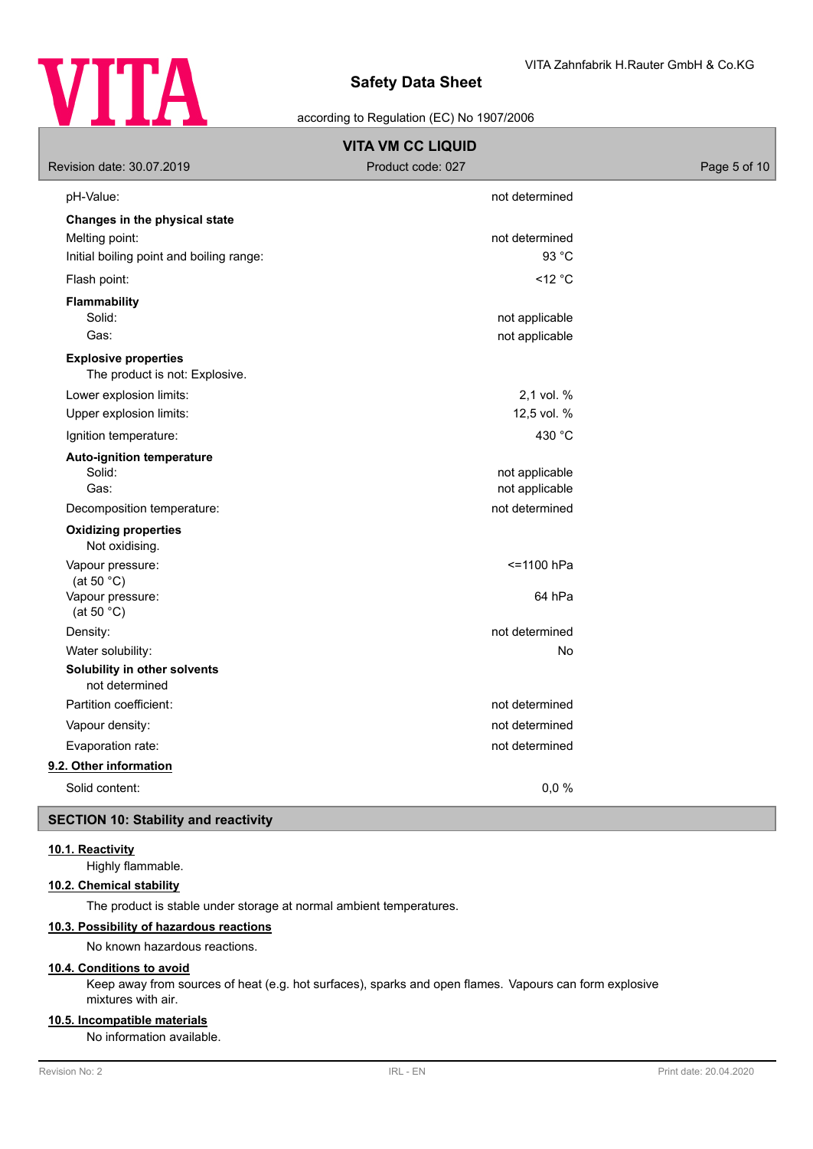

# according to Regulation (EC) No 1907/2006

| <b>VITA VM CC LIQUID</b>                                      |                     |              |  |  |  |  |
|---------------------------------------------------------------|---------------------|--------------|--|--|--|--|
| Revision date: 30.07.2019                                     | Product code: 027   | Page 5 of 10 |  |  |  |  |
| pH-Value:                                                     | not determined      |              |  |  |  |  |
| Changes in the physical state                                 |                     |              |  |  |  |  |
| Melting point:                                                | not determined      |              |  |  |  |  |
| Initial boiling point and boiling range:                      | 93 °C               |              |  |  |  |  |
| Flash point:                                                  | $<$ 12 $^{\circ}$ C |              |  |  |  |  |
| <b>Flammability</b>                                           |                     |              |  |  |  |  |
| Solid:                                                        | not applicable      |              |  |  |  |  |
| Gas:                                                          | not applicable      |              |  |  |  |  |
| <b>Explosive properties</b><br>The product is not: Explosive. |                     |              |  |  |  |  |
| Lower explosion limits:                                       | 2,1 vol. %          |              |  |  |  |  |
| Upper explosion limits:                                       | 12,5 vol. %         |              |  |  |  |  |
| Ignition temperature:                                         | 430 °C              |              |  |  |  |  |
| <b>Auto-ignition temperature</b>                              |                     |              |  |  |  |  |
| Solid:                                                        | not applicable      |              |  |  |  |  |
| Gas:                                                          | not applicable      |              |  |  |  |  |
| Decomposition temperature:                                    | not determined      |              |  |  |  |  |
| <b>Oxidizing properties</b><br>Not oxidising.                 |                     |              |  |  |  |  |
| Vapour pressure:                                              | <=1100 hPa          |              |  |  |  |  |
| (at 50 $^{\circ}$ C)<br>Vapour pressure:                      | 64 hPa              |              |  |  |  |  |
| (at 50 $^{\circ}$ C)                                          |                     |              |  |  |  |  |
| Density:                                                      | not determined      |              |  |  |  |  |
| Water solubility:                                             | No                  |              |  |  |  |  |
| Solubility in other solvents<br>not determined                |                     |              |  |  |  |  |
| Partition coefficient:                                        | not determined      |              |  |  |  |  |
| Vapour density:                                               | not determined      |              |  |  |  |  |
| Evaporation rate:                                             | not determined      |              |  |  |  |  |
| 9.2. Other information                                        |                     |              |  |  |  |  |
| Solid content:                                                | 0,0%                |              |  |  |  |  |

# **SECTION 10: Stability and reactivity**

# **10.1. Reactivity**

Highly flammable.

# **10.2. Chemical stability**

The product is stable under storage at normal ambient temperatures.

# **10.3. Possibility of hazardous reactions**

No known hazardous reactions.

# **10.4. Conditions to avoid**

Keep away from sources of heat (e.g. hot surfaces), sparks and open flames. Vapours can form explosive mixtures with air.

# **10.5. Incompatible materials**

No information available.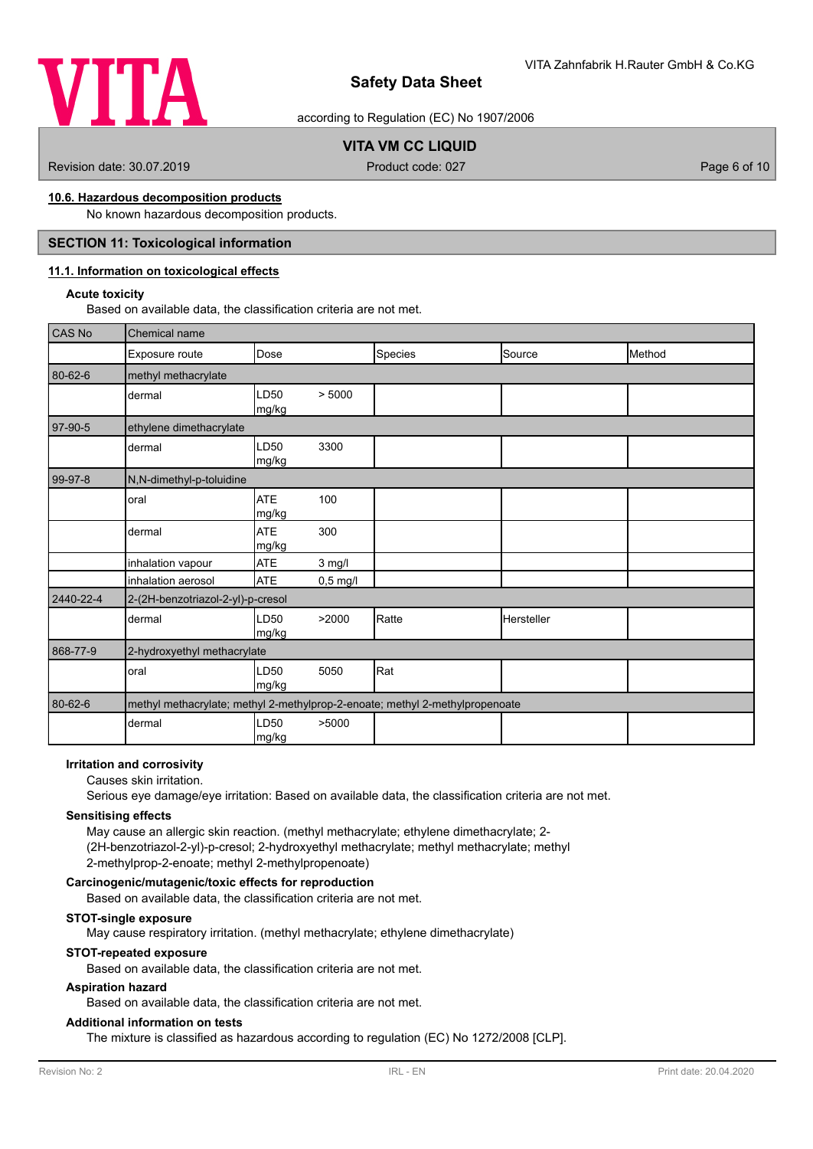

according to Regulation (EC) No 1907/2006

# **VITA VM CC LIQUID**

Revision date: 30.07.2019 **Product code: 027** Page 6 of 10

# **10.6. Hazardous decomposition products**

No known hazardous decomposition products.

# **SECTION 11: Toxicological information**

## **11.1. Information on toxicological effects**

# **Acute toxicity**

Based on available data, the classification criteria are not met.

| CAS No    | Chemical name                     |                           |            |                                                                              |            |        |
|-----------|-----------------------------------|---------------------------|------------|------------------------------------------------------------------------------|------------|--------|
|           | Exposure route                    | Dose                      |            | Species                                                                      | Source     | Method |
| 80-62-6   | methyl methacrylate               |                           |            |                                                                              |            |        |
|           | dermal                            | LD <sub>50</sub><br>mg/kg | > 5000     |                                                                              |            |        |
| 97-90-5   | ethylene dimethacrylate           |                           |            |                                                                              |            |        |
|           | dermal                            | LD50<br>mg/kg             | 3300       |                                                                              |            |        |
| 99-97-8   | N,N-dimethyl-p-toluidine          |                           |            |                                                                              |            |        |
|           | oral                              | <b>ATE</b><br>mg/kg       | 100        |                                                                              |            |        |
|           | dermal                            | <b>ATE</b><br>mg/kg       | 300        |                                                                              |            |        |
|           | inhalation vapour                 | <b>ATE</b>                | $3$ mg/l   |                                                                              |            |        |
|           | inhalation aerosol                | <b>ATE</b>                | $0,5$ mg/l |                                                                              |            |        |
| 2440-22-4 | 2-(2H-benzotriazol-2-yl)-p-cresol |                           |            |                                                                              |            |        |
|           | dermal                            | LD50<br>mg/kg             | >2000      | Ratte                                                                        | Hersteller |        |
| 868-77-9  | 2-hydroxyethyl methacrylate       |                           |            |                                                                              |            |        |
|           | oral                              | LD50<br>mg/kg             | 5050       | Rat                                                                          |            |        |
| 80-62-6   |                                   |                           |            | methyl methacrylate; methyl 2-methylprop-2-enoate; methyl 2-methylpropenoate |            |        |
|           | dermal                            | LD50<br>mg/kg             | >5000      |                                                                              |            |        |

## **Irritation and corrosivity**

#### Causes skin irritation.

Serious eye damage/eye irritation: Based on available data, the classification criteria are not met.

#### **Sensitising effects**

May cause an allergic skin reaction. (methyl methacrylate; ethylene dimethacrylate; 2- (2H-benzotriazol-2-yl)-p-cresol; 2-hydroxyethyl methacrylate; methyl methacrylate; methyl 2-methylprop-2-enoate; methyl 2-methylpropenoate)

# **Carcinogenic/mutagenic/toxic effects for reproduction**

Based on available data, the classification criteria are not met.

# **STOT-single exposure**

May cause respiratory irritation. (methyl methacrylate; ethylene dimethacrylate)

# **STOT-repeated exposure**

Based on available data, the classification criteria are not met.

## **Aspiration hazard**

Based on available data, the classification criteria are not met.

## **Additional information on tests**

The mixture is classified as hazardous according to regulation (EC) No 1272/2008 [CLP].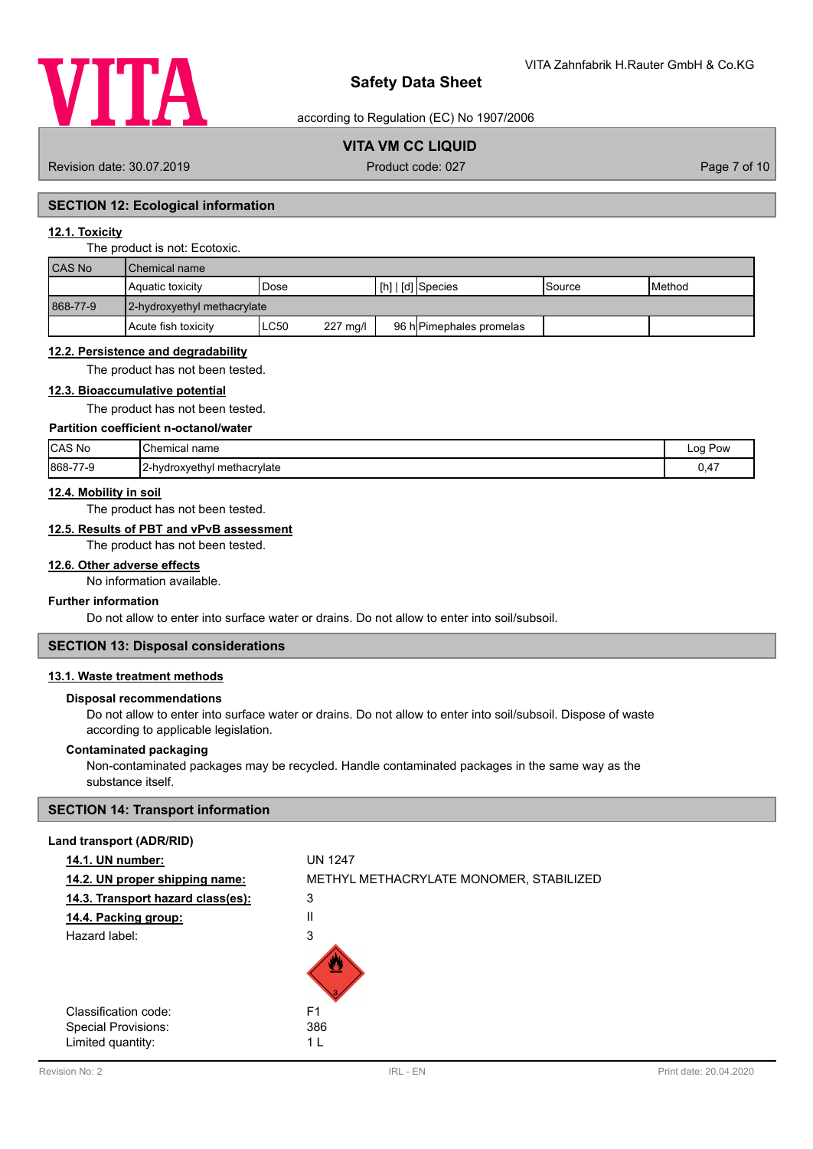

according to Regulation (EC) No 1907/2006

# **VITA VM CC LIQUID**

Revision date: 30.07.2019 **Product code: 027** Page 7 of 10

# **SECTION 12: Ecological information**

# **12.1. Toxicity**

#### The product is not: Ecotoxic.

| <b>CAS No</b> | l Chemical name     |                             |  |                          |         |                 |  |  |
|---------------|---------------------|-----------------------------|--|--------------------------|---------|-----------------|--|--|
|               | Aquatic toxicity    | Dose                        |  | $[h]   [d]$ Species      | lSource | <b>I</b> Method |  |  |
| 868-77-9      |                     | 2-hydroxyethyl methacrylate |  |                          |         |                 |  |  |
|               | Acute fish toxicity | ∟C50<br>227 mg/l            |  | 96 h Pimephales promelas |         |                 |  |  |

#### **12.2. Persistence and degradability**

The product has not been tested.

# **12.3. Bioaccumulative potential**

The product has not been tested.

# **Partition coefficient n-octanol/water**

| CAS No<br>___ | <b>Chemical</b><br>name<br>$\sim$ $\sim$ | Pow<br>Log     |
|---------------|------------------------------------------|----------------|
| 868-77-9      | 2-hydroxyethyl methacrylate              | $\mathbf{A}^-$ |
| 7-ম           | . .                                      | .              |

# **12.4. Mobility in soil**

The product has not been tested.

# **12.5. Results of PBT and vPvB assessment**

The product has not been tested.

## **12.6. Other adverse effects**

No information available.

## **Further information**

Do not allow to enter into surface water or drains. Do not allow to enter into soil/subsoil.

# **SECTION 13: Disposal considerations**

# **13.1. Waste treatment methods**

### **Disposal recommendations**

Do not allow to enter into surface water or drains. Do not allow to enter into soil/subsoil. Dispose of waste according to applicable legislation.

## **Contaminated packaging**

Non-contaminated packages may be recycled. Handle contaminated packages in the same way as the substance itself.

# **SECTION 14: Transport information**

## **Land transport (ADR/RID)**

| 14.1. UN number:                  | <b>UN 1247</b>                          |
|-----------------------------------|-----------------------------------------|
| 14.2. UN proper shipping name:    | METHYL METHACRYLATE MONOMER, STABILIZED |
| 14.3. Transport hazard class(es): | 3                                       |
| 14.4. Packing group:              | П                                       |
| Hazard label:                     | 3                                       |
|                                   |                                         |
| Classification code:              | F <sub>1</sub>                          |
| Special Provisions:               | 386                                     |
| Limited quantity:                 | 1 I                                     |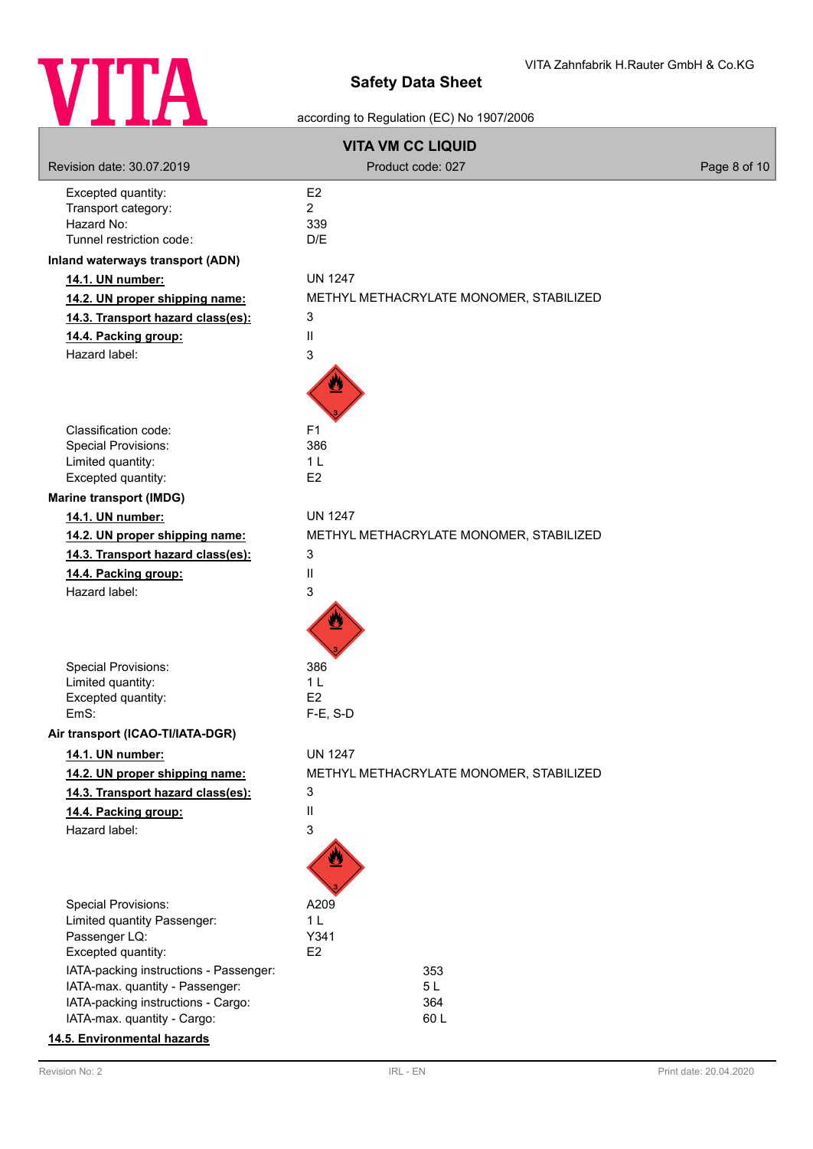

# according to Regulation (EC) No 1907/2006

| <b>VITA VM CC LIQUID</b>                                       |                                              |              |  |  |  |
|----------------------------------------------------------------|----------------------------------------------|--------------|--|--|--|
| Revision date: 30.07.2019                                      | Product code: 027                            | Page 8 of 10 |  |  |  |
| Excepted quantity:                                             | E <sub>2</sub>                               |              |  |  |  |
| Transport category:                                            | $\overline{2}$                               |              |  |  |  |
| Hazard No:<br>Tunnel restriction code:                         | 339<br>D/E                                   |              |  |  |  |
| Inland waterways transport (ADN)                               |                                              |              |  |  |  |
| 14.1. UN number:                                               | <b>UN 1247</b>                               |              |  |  |  |
| 14.2. UN proper shipping name:                                 | METHYL METHACRYLATE MONOMER, STABILIZED      |              |  |  |  |
| 14.3. Transport hazard class(es):                              | 3                                            |              |  |  |  |
|                                                                | Ш                                            |              |  |  |  |
| 14.4. Packing group:<br>Hazard label:                          |                                              |              |  |  |  |
|                                                                | 3                                            |              |  |  |  |
| Classification code:                                           | F <sub>1</sub>                               |              |  |  |  |
| <b>Special Provisions:</b>                                     | 386                                          |              |  |  |  |
| Limited quantity:                                              | 1 <sub>L</sub>                               |              |  |  |  |
| Excepted quantity:                                             | E <sub>2</sub>                               |              |  |  |  |
| <b>Marine transport (IMDG)</b><br>14.1. UN number:             | <b>UN 1247</b>                               |              |  |  |  |
| 14.2. UN proper shipping name:                                 | METHYL METHACRYLATE MONOMER, STABILIZED      |              |  |  |  |
| 14.3. Transport hazard class(es):                              | 3                                            |              |  |  |  |
| 14.4. Packing group:                                           | Ш                                            |              |  |  |  |
| Hazard label:                                                  | 3                                            |              |  |  |  |
| Special Provisions:<br>Limited quantity:<br>Excepted quantity: | 386<br>1 <sub>L</sub><br>E <sub>2</sub>      |              |  |  |  |
| EmS:                                                           | $F-E$ , S-D                                  |              |  |  |  |
| Air transport (ICAO-TI/IATA-DGR)                               |                                              |              |  |  |  |
| 14.1. UN number:                                               | <b>UN 1247</b>                               |              |  |  |  |
| 14.2. UN proper shipping name:                                 | METHYL METHACRYLATE MONOMER, STABILIZED<br>3 |              |  |  |  |
| 14.3. Transport hazard class(es):                              | Ш                                            |              |  |  |  |
| 14.4. Packing group:<br>Hazard label:                          |                                              |              |  |  |  |
|                                                                | 3                                            |              |  |  |  |
| Special Provisions:                                            | A209                                         |              |  |  |  |
| Limited quantity Passenger:                                    | 1 <sub>L</sub>                               |              |  |  |  |
| Passenger LQ:<br>Excepted quantity:                            | Y341<br>E <sub>2</sub>                       |              |  |  |  |
| IATA-packing instructions - Passenger:                         | 353                                          |              |  |  |  |
| IATA-max. quantity - Passenger:                                | 5L                                           |              |  |  |  |
| IATA-packing instructions - Cargo:                             | 364                                          |              |  |  |  |
| IATA-max. quantity - Cargo:                                    | 60L                                          |              |  |  |  |
| 14.5. Environmental hazards                                    |                                              |              |  |  |  |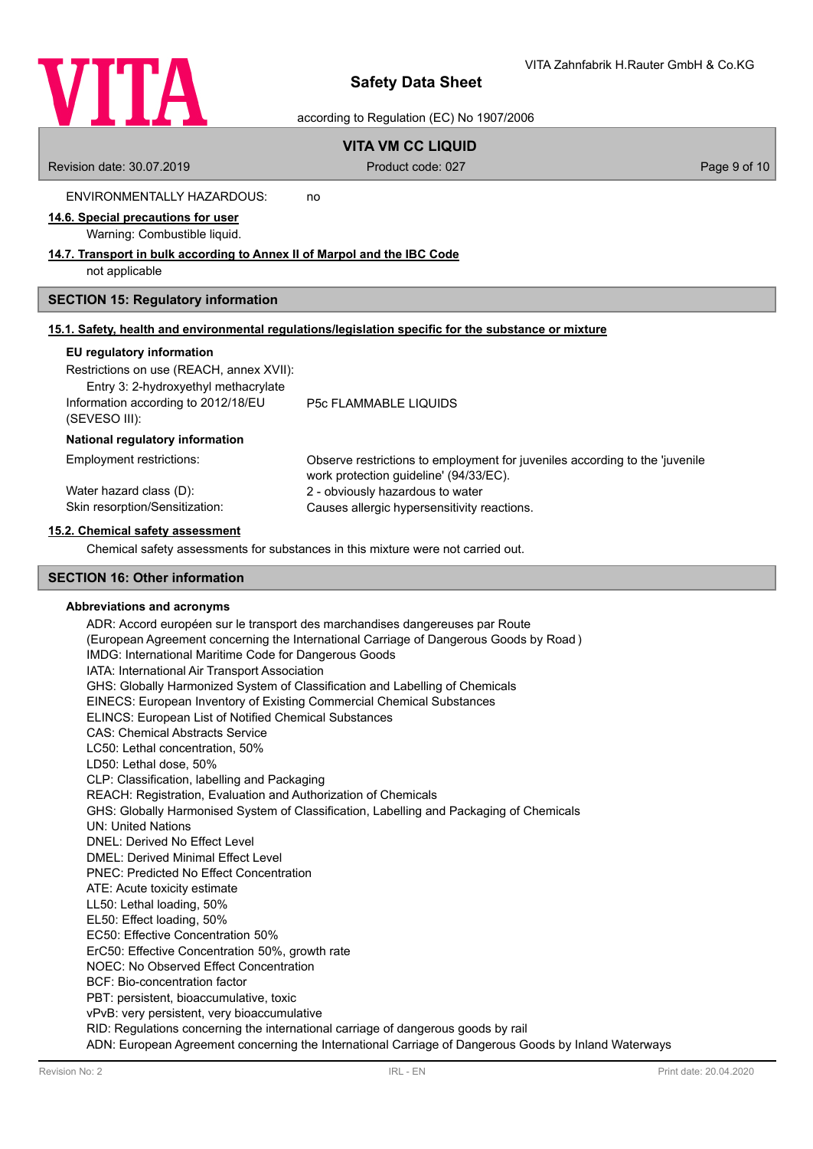

according to Regulation (EC) No 1907/2006

# **VITA VM CC LIQUID**

Revision date: 30.07.2019 **Product code: 027** Page 9 of 10

ENVIRONMENTALLY HAZARDOUS: no

# **14.6. Special precautions for user**

Warning: Combustible liquid.

# **14.7. Transport in bulk according to Annex II of Marpol and the IBC Code**

not applicable

# **SECTION 15: Regulatory information**

|  | 15.1. Safety, health and environmental regulations/legislation specific for the substance or mixture |  |  |  |
|--|------------------------------------------------------------------------------------------------------|--|--|--|
|  |                                                                                                      |  |  |  |

### **EU regulatory information**

(SEVESO III):

Restrictions on use (REACH, annex XVII):

Entry 3: 2-hydroxyethyl methacrylate Information according to 2012/18/EU

P5c FLAMMABLE LIQUIDS

### **National regulatory information**

| Employment restrictions:       | Observe restrictions to employment for juveniles according to the 'juvenile<br>work protection quideline' (94/33/EC). |
|--------------------------------|-----------------------------------------------------------------------------------------------------------------------|
| Water hazard class (D):        | 2 - obviously hazardous to water                                                                                      |
| Skin resorption/Sensitization: | Causes allergic hypersensitivity reactions.                                                                           |

## **15.2. Chemical safety assessment**

Chemical safety assessments for substances in this mixture were not carried out.

# **SECTION 16: Other information**

### **Abbreviations and acronyms**

ADR: Accord européen sur le transport des marchandises dangereuses par Route (European Agreement concerning the International Carriage of Dangerous Goods by Road ) IMDG: International Maritime Code for Dangerous Goods IATA: International Air Transport Association GHS: Globally Harmonized System of Classification and Labelling of Chemicals EINECS: European Inventory of Existing Commercial Chemical Substances ELINCS: European List of Notified Chemical Substances CAS: Chemical Abstracts Service LC50: Lethal concentration, 50% LD50: Lethal dose, 50% CLP: Classification, labelling and Packaging REACH: Registration, Evaluation and Authorization of Chemicals GHS: Globally Harmonised System of Classification, Labelling and Packaging of Chemicals UN: United Nations DNEL: Derived No Effect Level DMEL: Derived Minimal Effect Level PNEC: Predicted No Effect Concentration ATE: Acute toxicity estimate LL50: Lethal loading, 50% EL50: Effect loading, 50% EC50: Effective Concentration 50% ErC50: Effective Concentration 50%, growth rate NOEC: No Observed Effect Concentration BCF: Bio-concentration factor PBT: persistent, bioaccumulative, toxic vPvB: very persistent, very bioaccumulative RID: Regulations concerning the international carriage of dangerous goods by rail ADN: European Agreement concerning the International Carriage of Dangerous Goods by Inland Waterways